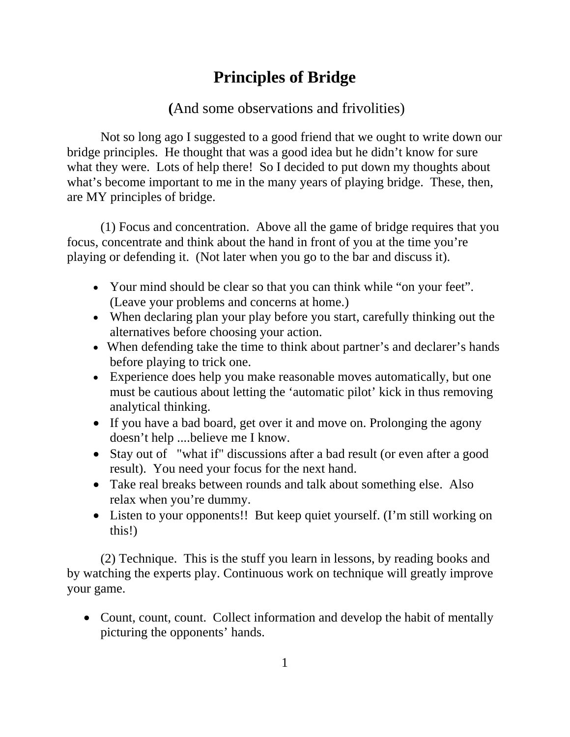## **Principles of Bridge**

## **(**And some observations and frivolities)

Not so long ago I suggested to a good friend that we ought to write down our bridge principles. He thought that was a good idea but he didn't know for sure what they were. Lots of help there! So I decided to put down my thoughts about what's become important to me in the many years of playing bridge. These, then, are MY principles of bridge.

 (1) Focus and concentration. Above all the game of bridge requires that you focus, concentrate and think about the hand in front of you at the time you're playing or defending it. (Not later when you go to the bar and discuss it).

- Your mind should be clear so that you can think while "on your feet". (Leave your problems and concerns at home.)
- When declaring plan your play before you start, carefully thinking out the alternatives before choosing your action.
- When defending take the time to think about partner's and declarer's hands before playing to trick one.
- Experience does help you make reasonable moves automatically, but one must be cautious about letting the 'automatic pilot' kick in thus removing analytical thinking.
- If you have a bad board, get over it and move on. Prolonging the agony doesn't help ....believe me I know.
- Stay out of "what if" discussions after a bad result (or even after a good result). You need your focus for the next hand.
- Take real breaks between rounds and talk about something else. Also relax when you're dummy.
- Listen to your opponents!! But keep quiet yourself. (I'm still working on this!)

 (2) Technique. This is the stuff you learn in lessons, by reading books and by watching the experts play. Continuous work on technique will greatly improve your game.

• Count, count, count. Collect information and develop the habit of mentally picturing the opponents' hands.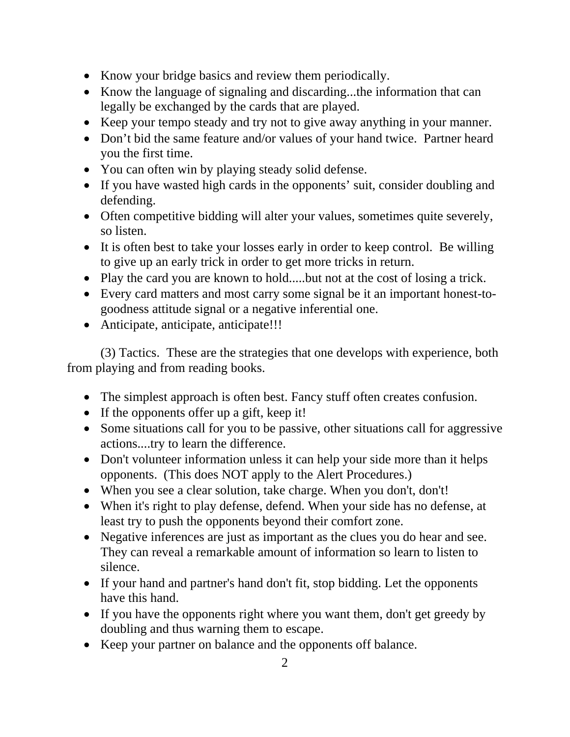- Know your bridge basics and review them periodically.
- Know the language of signaling and discarding...the information that can legally be exchanged by the cards that are played.
- Keep your tempo steady and try not to give away anything in your manner.
- Don't bid the same feature and/or values of your hand twice. Partner heard you the first time.
- You can often win by playing steady solid defense.
- If you have wasted high cards in the opponents' suit, consider doubling and defending.
- Often competitive bidding will alter your values, sometimes quite severely, so listen.
- It is often best to take your losses early in order to keep control. Be willing to give up an early trick in order to get more tricks in return.
- Play the card you are known to hold.....but not at the cost of losing a trick.
- Every card matters and most carry some signal be it an important honest-togoodness attitude signal or a negative inferential one.
- Anticipate, anticipate, anticipate!!!

 (3) Tactics. These are the strategies that one develops with experience, both from playing and from reading books.

- The simplest approach is often best. Fancy stuff often creates confusion.
- If the opponents offer up a gift, keep it!
- Some situations call for you to be passive, other situations call for aggressive actions....try to learn the difference.
- Don't volunteer information unless it can help your side more than it helps opponents. (This does NOT apply to the Alert Procedures.)
- When you see a clear solution, take charge. When you don't, don't!
- When it's right to play defense, defend. When your side has no defense, at least try to push the opponents beyond their comfort zone.
- Negative inferences are just as important as the clues you do hear and see. They can reveal a remarkable amount of information so learn to listen to silence.
- If your hand and partner's hand don't fit, stop bidding. Let the opponents have this hand.
- If you have the opponents right where you want them, don't get greedy by doubling and thus warning them to escape.
- Keep your partner on balance and the opponents off balance.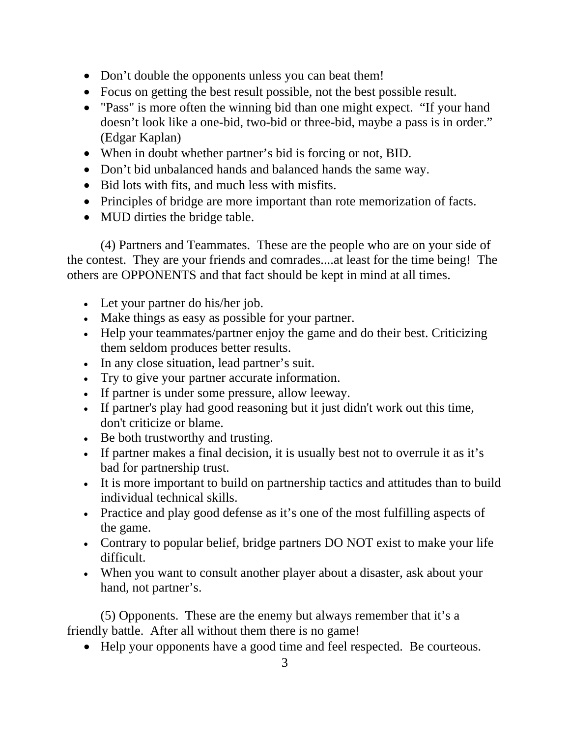- Don't double the opponents unless you can beat them!
- Focus on getting the best result possible, not the best possible result.
- "Pass" is more often the winning bid than one might expect. "If your hand doesn't look like a one-bid, two-bid or three-bid, maybe a pass is in order." (Edgar Kaplan)
- When in doubt whether partner's bid is forcing or not, BID.
- Don't bid unbalanced hands and balanced hands the same way.
- Bid lots with fits, and much less with misfits.
- Principles of bridge are more important than rote memorization of facts.
- MUD dirties the bridge table.

 (4) Partners and Teammates. These are the people who are on your side of the contest. They are your friends and comrades....at least for the time being! The others are OPPONENTS and that fact should be kept in mind at all times.

- Let your partner do his/her job.
- Make things as easy as possible for your partner.
- Help your teammates/partner enjoy the game and do their best. Criticizing them seldom produces better results.
- In any close situation, lead partner's suit.
- Try to give your partner accurate information.
- If partner is under some pressure, allow leeway.
- If partner's play had good reasoning but it just didn't work out this time, don't criticize or blame.
- Be both trustworthy and trusting.
- If partner makes a final decision, it is usually best not to overrule it as it's bad for partnership trust.
- It is more important to build on partnership tactics and attitudes than to build individual technical skills.
- Practice and play good defense as it's one of the most fulfilling aspects of the game.
- Contrary to popular belief, bridge partners DO NOT exist to make your life difficult.
- When you want to consult another player about a disaster, ask about your hand, not partner's.

 (5) Opponents. These are the enemy but always remember that it's a friendly battle. After all without them there is no game!

• Help your opponents have a good time and feel respected. Be courteous.